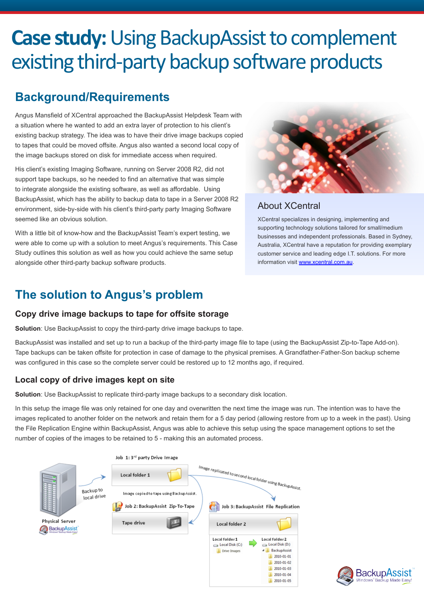# **Case study:** Using BackupAssist to complement existing third-party backup software products

# **Background/Requirements**

Angus Mansfield of XCentral approached the BackupAssist Helpdesk Team with a situation where he wanted to add an extra layer of protection to his client's existing backup strategy. The idea was to have their drive image backups copied to tapes that could be moved offsite. Angus also wanted a second local copy of the image backups stored on disk for immediate access when required.

His client's existing Imaging Software, running on Server 2008 R2, did not support tape backups, so he needed to find an alternative that was simple to integrate alongside the existing software, as well as affordable. Using BackupAssist, which has the ability to backup data to tape in a Server 2008 R2 environment, side-by-side with his client's third-party party Imaging Software seemed like an obvious solution.

With a little bit of know-how and the BackupAssist Team's expert testing, we were able to come up with a solution to meet Angus's requirements. This Case Study outlines this solution as well as how you could achieve the same setup alongside other third-party backup software products.



# About XCentral

XCentral specializes in designing, implementing and supporting technology solutions tailored for small/medium businesses and independent professionals. Based in Sydney, Australia, XCentral have a reputation for providing exemplary customer service and leading edge I.T. solutions. For more information visit www.xcentral.com.au.

# **The solution to Angus's problem**

# **Copy drive image backups to tape for offsite storage**

**Solution**: Use BackupAssist to copy the third-party drive image backups to tape.

BackupAssist was installed and set up to run a backup of the third-party image file to tape (using the BackupAssist Zip-to-Tape Add-on). Tape backups can be taken offsite for protection in case of damage to the physical premises. A Grandfather-Father-Son backup scheme was configured in this case so the complete server could be restored up to 12 months ago, if required.

# **Local copy of drive images kept on site**

**Solution**: Use BackupAssist to replicate third-party image backups to a secondary disk location.

In this setup the image file was only retained for one day and overwritten the next time the image was run. The intention was to have the images replicated to another folder on the network and retain them for a 5 day period (allowing restore from up to a week in the past). Using the File Replication Engine within BackupAssist, Angus was able to achieve this setup using the space management options to set the number of copies of the images to be retained to 5 - making this an automated process.



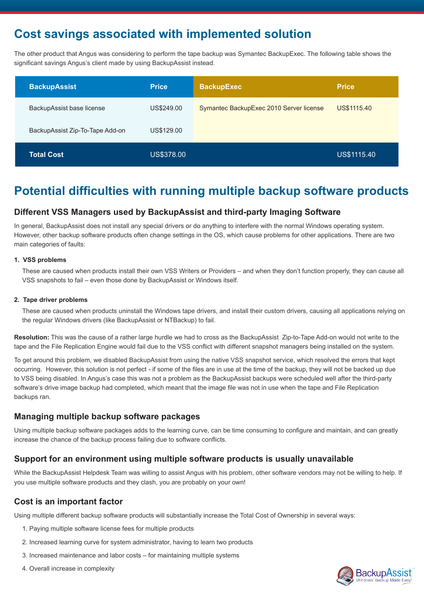# **Cost savings associated with implemented solution**

The other product that Angus was considering to perform the tape backup was Symantec BackupExec. The following table shows the significant savings Angus's client made by using BackupAssist instead.

| <b>BackupAssist</b>             | <b>Price</b> | <b>BackupExec</b>                       | <b>Price</b> |
|---------------------------------|--------------|-----------------------------------------|--------------|
| BackupAssist base license       | US\$249.00   | Symantec BackupExec 2010 Server license | US\$1115.40  |
| BackupAssist Zip-To-Tape Add-on | US\$129.00   |                                         |              |
| <b>Total Cost</b>               | US\$378.00   |                                         | US\$1115.40  |

# **Potential difficulties with running multiple backup software products**

### **Different VSS Managers used by BackupAssist and third-party Imaging Software**

In general, BackupAssist does not install any special drivers or do anything to interfere with the normal Windows operating system. However, other backup software products often change settings in the OS, which cause problems for other applications. There are two main categories of faults:

#### **1. VSS problems**

These are caused when products install their own VSS Writers or Providers – and when they don't function properly, they can cause all VSS snapshots to fail – even those done by BackupAssist or Windows itself.

#### **2. Tape driver problems**

These are caused when products uninstall the Windows tape drivers, and install their custom drivers, causing all applications relying on the regular Windows drivers (like BackupAssist or NTBackup) to fail.

**Resolution:** This was the cause of a rather large hurdle we had to cross as the BackupAssist Zip-to-Tape Add-on would not write to the tape and the File Replication Engine would fail due to the VSS conflict with different snapshot managers being installed on the system.

To get around this problem, we disabled BackupAssist from using the native VSS snapshot service, which resolved the errors that kept occurring. However, this solution is not perfect - if some of the files are in use at the time of the backup, they will not be backed up due to VSS being disabled. In Angus's case this was not a problem as the BackupAssist backups were scheduled well after the third-party software's drive image backup had completed, which meant that the image file was not in use when the tape and File Replication backups ran.

### **Managing multiple backup software packages**

Using multiple backup software packages adds to the learning curve, can be time consuming to configure and maintain, and can greatly increase the chance of the backup process failing due to software conflicts.

### **Support for an environment using multiple software products is usually unavailable**

While the BackupAssist Helpdesk Team was willing to assist Angus with his problem, other software vendors may not be willing to help. If you use multiple software products and they clash, you are probably on your own!

### **Cost is an important factor**

Using multiple different backup software products will substantially increase the Total Cost of Ownership in several ways:

- 1. Paying multiple software license fees for multiple products
- 2. Increased learning curve for system administrator, having to learn two products
- 3. Increased maintenance and labor costs for maintaining multiple systems
- 4. Overall increase in complexity

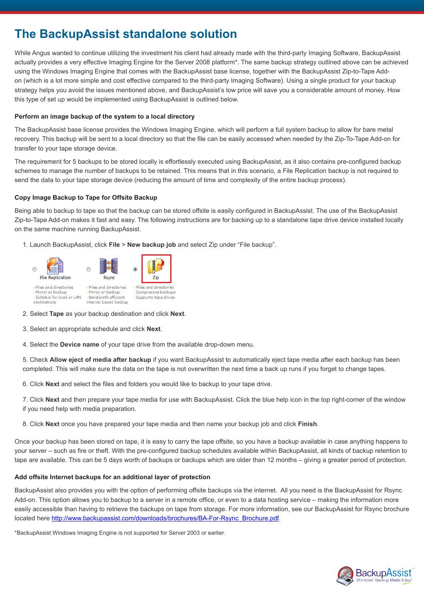# **The BackupAssist standalone solution**

While Angus wanted to continue utilizing the investment his client had already made with the third-party Imaging Software, BackupAssist actually provides a very effective Imaging Engine for the Server 2008 platform\*. The same backup strategy outlined above can be achieved using the Windows Imaging Engine that comes with the BackupAssist base license, together with the BackupAssist Zip-to-Tape Addon (which is a lot more simple and cost effective compared to the third-party Imaging Software). Using a single product for your backup strategy helps you avoid the issues mentioned above, and BackupAssist's low price will save you a considerable amount of money. How this type of set up would be implemented using BackupAssist is outlined below.

#### **Perform an image backup of the system to a local directory**

The BackupAssist base license provides the Windows Imaging Engine, which will perform a full system backup to allow for bare metal recovery. This backup will be sent to a local directory so that the file can be easily accessed when needed by the Zip-To-Tape Add-on for transfer to your tape storage device.

The requirement for 5 backups to be stored locally is effortlessly executed using BackupAssist, as it also contains pre-configured backup schemes to manage the number of backups to be retained. This means that in this scenario, a File Replication backup is not required to send the data to your tape storage device (reducing the amount of time and complexity of the entire backup process).

### **Copy Image Backup to Tape for Offsite Backup**

Being able to backup to tape so that the backup can be stored offsite is easily configured in BackupAssist. The use of the BackupAssist Zip-to-Tape Add-on makes it fast and easy. The following instructions are for backing up to a standalone tape drive device installed locally on the same machine running BackupAssist.

1. Launch BackupAssist, click **File** > **New backup job** and select Zip under "File backup".



2. Select **Tape** as your backup destination and click **Next**.

3. Select an appropriate schedule and click **Next**.

4. Select the **Device name** of your tape drive from the available drop-down menu.

5. Check **Allow eject of media after backup** if you want BackupAssist to automatically eject tape media after each backup has been completed. This will make sure the data on the tape is not overwritten the next time a back up runs if you forget to change tapes.

6. Click **Next** and select the files and folders you would like to backup to your tape drive.

7. Click **Next** and then prepare your tape media for use with BackupAssist. Click the blue help icon in the top right-corner of the window if you need help with media preparation.

8. Click **Next** once you have prepared your tape media and then name your backup job and click **Finish**.

Once your backup has been stored on tape, it is easy to carry the tape offsite, so you have a backup available in case anything happens to your server – such as fire or theft. With the pre-configured backup schedules available within BackupAssist, all kinds of backup retention to tape are available. This can be 5 days worth of backups or backups which are older than 12 months – giving a greater period of protection.

#### **Add offsite Internet backups for an additional layer of protection**

BackupAssist also provides you with the option of performing offsite backups via the internet. All you need is the BackupAssist for Rsync Add-on. This option allows you to backup to a server in a remote office, or even to a data hosting service – making the information more easily accessible than having to retrieve the backups on tape from storage. For more information, see our BackupAssist for Rsync brochure located here http://www.backupassist.com/downloads/brochures/BA-For-Rsync\_Brochure.pdf.

\*BackupAssist Windows Imaging Engine is not supported for Server 2003 or earlier.